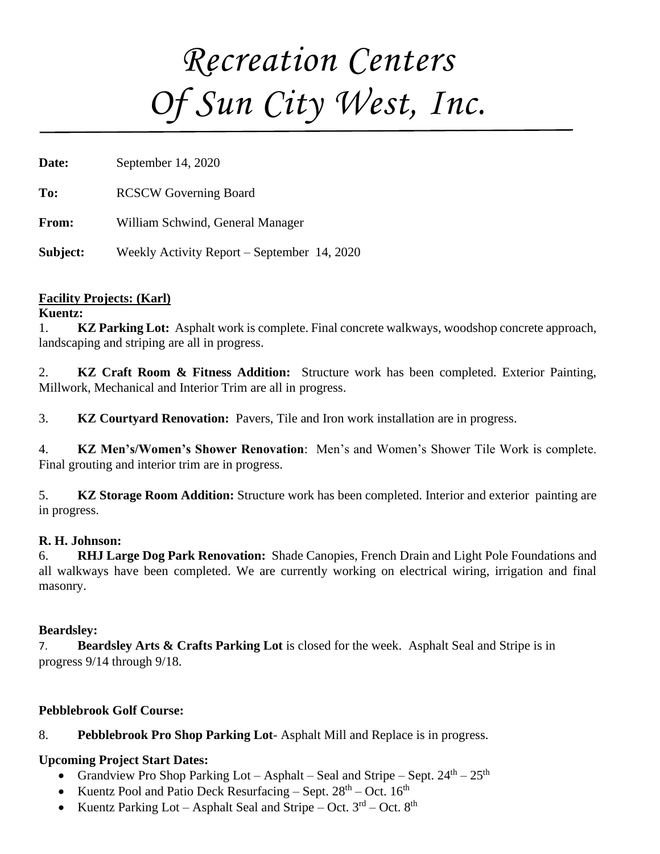# *Recreation Centers Of Sun City West, Inc.*

**Date:** September 14, 2020

**To:** RCSCW Governing Board

**From:** William Schwind, General Manager

**Subject:** Weekly Activity Report – September 14, 2020

### **Facility Projects: (Karl)**

### **Kuentz:**

1. **KZ Parking Lot:** Asphalt work is complete. Final concrete walkways, woodshop concrete approach, landscaping and striping are all in progress.

2. **KZ Craft Room & Fitness Addition:** Structure work has been completed. Exterior Painting, Millwork, Mechanical and Interior Trim are all in progress.

3. **KZ Courtyard Renovation:** Pavers, Tile and Iron work installation are in progress.

4. **KZ Men's/Women's Shower Renovation**: Men's and Women's Shower Tile Work is complete. Final grouting and interior trim are in progress.

5. **KZ Storage Room Addition:** Structure work has been completed. Interior and exterior painting are in progress.

### **R. H. Johnson:**

6. **RHJ Large Dog Park Renovation:** Shade Canopies, French Drain and Light Pole Foundations and all walkways have been completed. We are currently working on electrical wiring, irrigation and final masonry.

### **Beardsley:**

7. **Beardsley Arts & Crafts Parking Lot** is closed for the week. Asphalt Seal and Stripe is in progress 9/14 through 9/18.

# **Pebblebrook Golf Course:**

# 8. **Pebblebrook Pro Shop Parking Lot**- Asphalt Mill and Replace is in progress.

# **Upcoming Project Start Dates:**

- Grandview Pro Shop Parking Lot Asphalt Seal and Stripe Sept.  $24^{\text{th}} 25^{\text{th}}$
- Kuentz Pool and Patio Deck Resurfacing Sept.  $28<sup>th</sup>$  Oct.  $16<sup>th</sup>$
- Kuentz Parking Lot Asphalt Seal and Stripe Oct.  $3<sup>rd</sup>$  Oct.  $8<sup>th</sup>$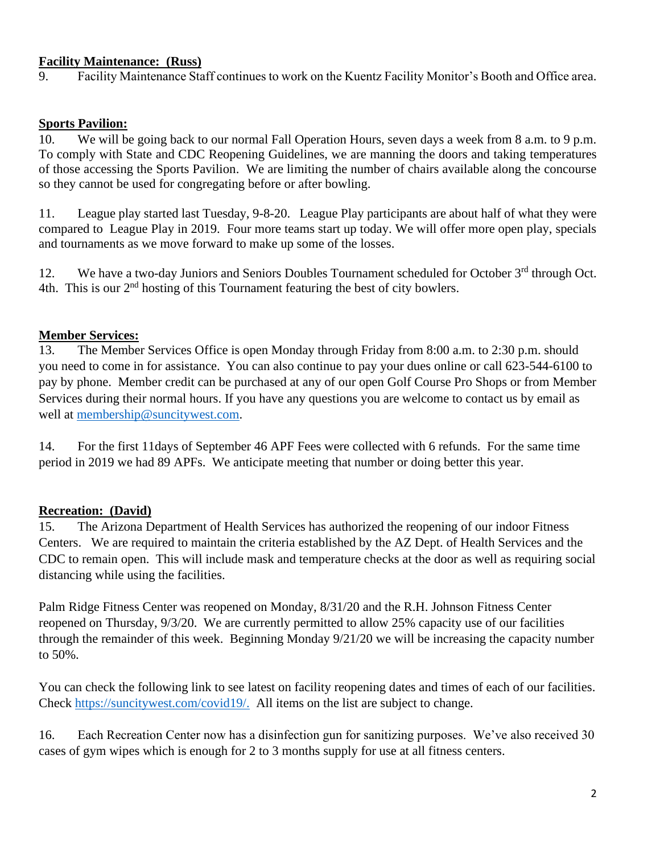### **Facility Maintenance: (Russ)**

9. Facility Maintenance Staff continues to work on the Kuentz Facility Monitor's Booth and Office area.

#### **Sports Pavilion:**

10. We will be going back to our normal Fall Operation Hours, seven days a week from 8 a.m. to 9 p.m. To comply with State and CDC Reopening Guidelines, we are manning the doors and taking temperatures of those accessing the Sports Pavilion. We are limiting the number of chairs available along the concourse so they cannot be used for congregating before or after bowling.

11. League play started last Tuesday, 9-8-20. League Play participants are about half of what they were compared to League Play in 2019. Four more teams start up today. We will offer more open play, specials and tournaments as we move forward to make up some of the losses.

12. We have a two-day Juniors and Seniors Doubles Tournament scheduled for October 3<sup>rd</sup> through Oct. 4th. This is our  $2<sup>nd</sup>$  hosting of this Tournament featuring the best of city bowlers.

#### **Member Services:**

13. The Member Services Office is open Monday through Friday from 8:00 a.m. to 2:30 p.m. should you need to come in for assistance. You can also continue to pay your dues online or call 623-544-6100 to pay by phone. Member credit can be purchased at any of our open Golf Course Pro Shops or from Member Services during their normal hours. If you have any questions you are welcome to contact us by email as well at [membership@suncitywest.com.](mailto:membership@suncitywest.com)

14. For the first 11days of September 46 APF Fees were collected with 6 refunds. For the same time period in 2019 we had 89 APFs. We anticipate meeting that number or doing better this year.

### **Recreation: (David)**

15. The Arizona Department of Health Services has authorized the reopening of our indoor Fitness Centers. We are required to maintain the criteria established by the AZ Dept. of Health Services and the CDC to remain open. This will include mask and temperature checks at the door as well as requiring social distancing while using the facilities.

Palm Ridge Fitness Center was reopened on Monday, 8/31/20 and the R.H. Johnson Fitness Center reopened on Thursday, 9/3/20. We are currently permitted to allow 25% capacity use of our facilities through the remainder of this week. Beginning Monday 9/21/20 we will be increasing the capacity number to 50%.

You can check the following link to see latest on facility reopening dates and times of each of our facilities. Check [https://suncitywest.com/covid19/.](https://suncitywest.com/covid19/) All items on the list are subject to change.

16. Each Recreation Center now has a disinfection gun for sanitizing purposes. We've also received 30 cases of gym wipes which is enough for 2 to 3 months supply for use at all fitness centers.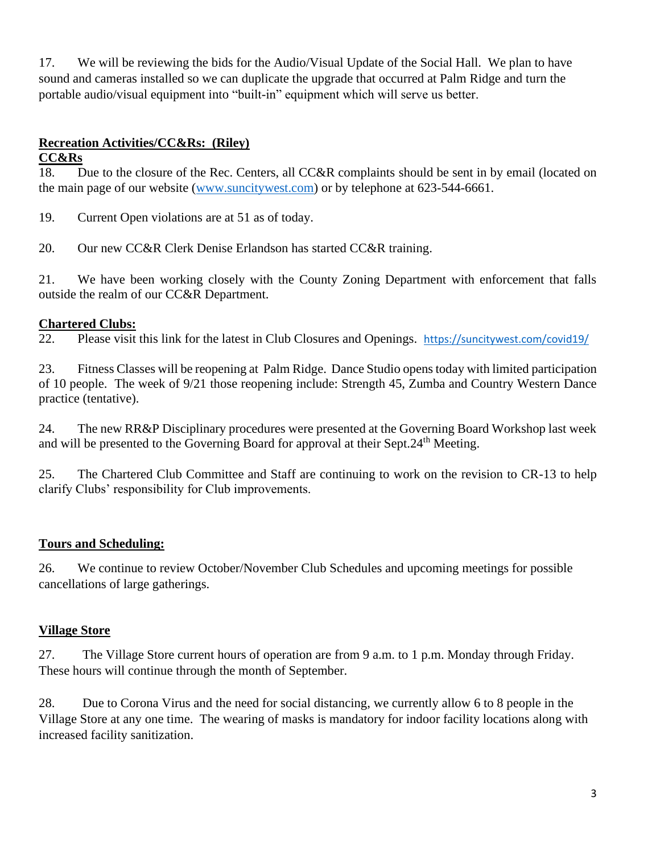17. We will be reviewing the bids for the Audio/Visual Update of the Social Hall. We plan to have sound and cameras installed so we can duplicate the upgrade that occurred at Palm Ridge and turn the portable audio/visual equipment into "built-in" equipment which will serve us better.

# **Recreation Activities/CC&Rs: (Riley)**

## **CC&Rs**

18. Due to the closure of the Rec. Centers, all CC&R complaints should be sent in by email (located on the main page of our website [\(www.suncitywest.com\)](http://www.suncitywest.com/) or by telephone at 623-544-6661.

19. Current Open violations are at 51 as of today.

20. Our new CC&R Clerk Denise Erlandson has started CC&R training.

21. We have been working closely with the County Zoning Department with enforcement that falls outside the realm of our CC&R Department.

# **Chartered Clubs:**

22. Please visit this link for the latest in Club Closures and Openings. <https://suncitywest.com/covid19/>

23. Fitness Classes will be reopening at Palm Ridge. Dance Studio opens today with limited participation of 10 people. The week of 9/21 those reopening include: Strength 45, Zumba and Country Western Dance practice (tentative).

24. The new RR&P Disciplinary procedures were presented at the Governing Board Workshop last week and will be presented to the Governing Board for approval at their Sept.24<sup>th</sup> Meeting.

25. The Chartered Club Committee and Staff are continuing to work on the revision to CR-13 to help clarify Clubs' responsibility for Club improvements.

# **Tours and Scheduling:**

26. We continue to review October/November Club Schedules and upcoming meetings for possible cancellations of large gatherings.

# **Village Store**

27. The Village Store current hours of operation are from 9 a.m. to 1 p.m. Monday through Friday. These hours will continue through the month of September.

28. Due to Corona Virus and the need for social distancing, we currently allow 6 to 8 people in the Village Store at any one time. The wearing of masks is mandatory for indoor facility locations along with increased facility sanitization.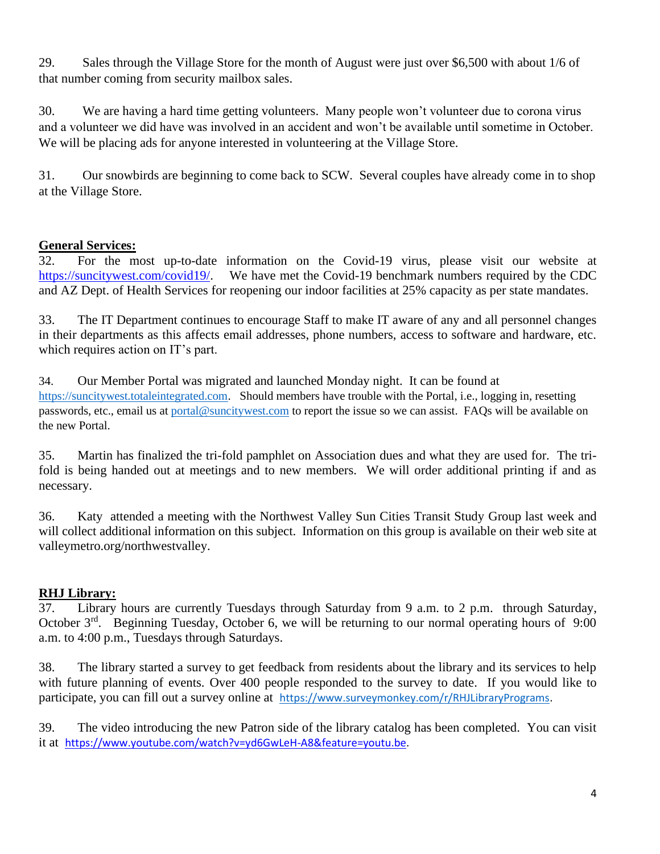29. Sales through the Village Store for the month of August were just over \$6,500 with about 1/6 of that number coming from security mailbox sales.

30. We are having a hard time getting volunteers. Many people won't volunteer due to corona virus and a volunteer we did have was involved in an accident and won't be available until sometime in October. We will be placing ads for anyone interested in volunteering at the Village Store.

31. Our snowbirds are beginning to come back to SCW. Several couples have already come in to shop at the Village Store.

# **General Services:**

32. For the most up-to-date information on the Covid-19 virus, please visit our website at [https://suncitywest.com/covid19/.](https://suncitywest.com/covid19/) We have met the Covid-19 benchmark numbers required by the CDC and AZ Dept. of Health Services for reopening our indoor facilities at 25% capacity as per state mandates.

33. The IT Department continues to encourage Staff to make IT aware of any and all personnel changes in their departments as this affects email addresses, phone numbers, access to software and hardware, etc. which requires action on IT's part.

34. Our Member Portal was migrated and launched Monday night. It can be found at [https://suncitywest.totaleintegrated.com.](https://suncitywest.totaleintegrated.com/) Should members have trouble with the Portal, i.e., logging in, resetting passwords, etc., email us at [portal@suncitywest.com](mailto:portal@suncitywest.com) to report the issue so we can assist. FAQs will be available on the new Portal.

35. Martin has finalized the tri-fold pamphlet on Association dues and what they are used for. The trifold is being handed out at meetings and to new members. We will order additional printing if and as necessary.

36. Katy attended a meeting with the Northwest Valley Sun Cities Transit Study Group last week and will collect additional information on this subject. Information on this group is available on their web site at valleymetro.org/northwestvalley.

# **RHJ Library:**

37. Library hours are currently Tuesdays through Saturday from 9 a.m. to 2 p.m. through Saturday, October 3<sup>rd</sup>. Beginning Tuesday, October 6, we will be returning to our normal operating hours of 9:00 a.m. to 4:00 p.m., Tuesdays through Saturdays.

38. The library started a survey to get feedback from residents about the library and its services to help with future planning of events. Over 400 people responded to the survey to date. If you would like to participate, you can fill out a survey online at [https://www.surveymonkey.com/r/RHJLibraryPrograms.](https://www.surveymonkey.com/r/RHJLibraryPrograms)

39. The video introducing the new Patron side of the library catalog has been completed. You can visit it at [https://www.youtube.com/watch?v=yd6GwLeH-A8&feature=youtu.be.](https://www.youtube.com/watch?v=yd6GwLeH-A8&feature=youtu.be)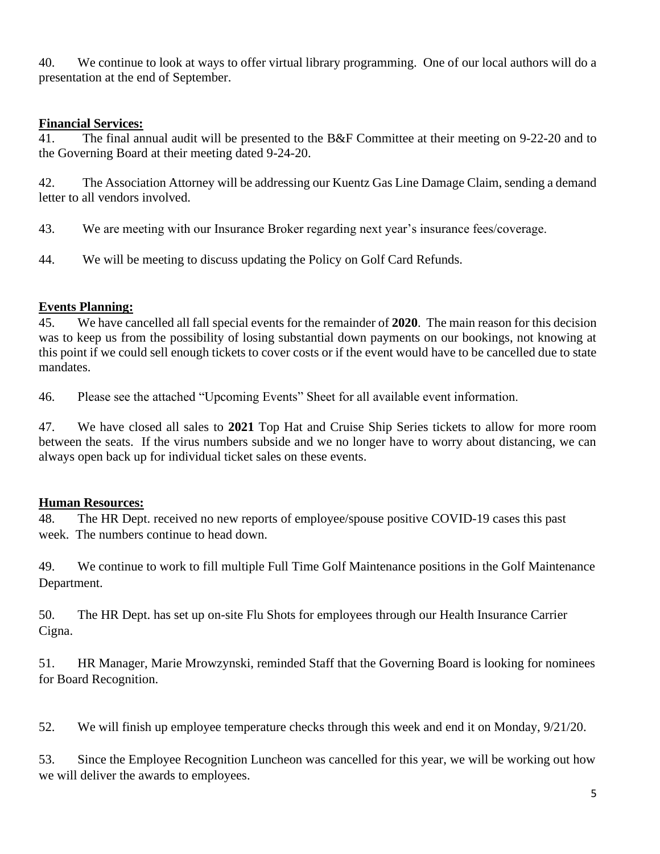40. We continue to look at ways to offer virtual library programming. One of our local authors will do a presentation at the end of September.

## **Financial Services:**

41. The final annual audit will be presented to the B&F Committee at their meeting on 9-22-20 and to the Governing Board at their meeting dated 9-24-20.

42. The Association Attorney will be addressing our Kuentz Gas Line Damage Claim, sending a demand letter to all vendors involved.

43. We are meeting with our Insurance Broker regarding next year's insurance fees/coverage.

44. We will be meeting to discuss updating the Policy on Golf Card Refunds.

## **Events Planning:**

45. We have cancelled all fall special events for the remainder of **2020**. The main reason for this decision was to keep us from the possibility of losing substantial down payments on our bookings, not knowing at this point if we could sell enough tickets to cover costs or if the event would have to be cancelled due to state mandates.

46. Please see the attached "Upcoming Events" Sheet for all available event information.

47. We have closed all sales to **2021** Top Hat and Cruise Ship Series tickets to allow for more room between the seats. If the virus numbers subside and we no longer have to worry about distancing, we can always open back up for individual ticket sales on these events.

# **Human Resources:**

48. The HR Dept. received no new reports of employee/spouse positive COVID-19 cases this past week. The numbers continue to head down.

49. We continue to work to fill multiple Full Time Golf Maintenance positions in the Golf Maintenance Department.

50. The HR Dept. has set up on-site Flu Shots for employees through our Health Insurance Carrier Cigna.

51. HR Manager, Marie Mrowzynski, reminded Staff that the Governing Board is looking for nominees for Board Recognition.

52. We will finish up employee temperature checks through this week and end it on Monday, 9/21/20.

53. Since the Employee Recognition Luncheon was cancelled for this year, we will be working out how we will deliver the awards to employees.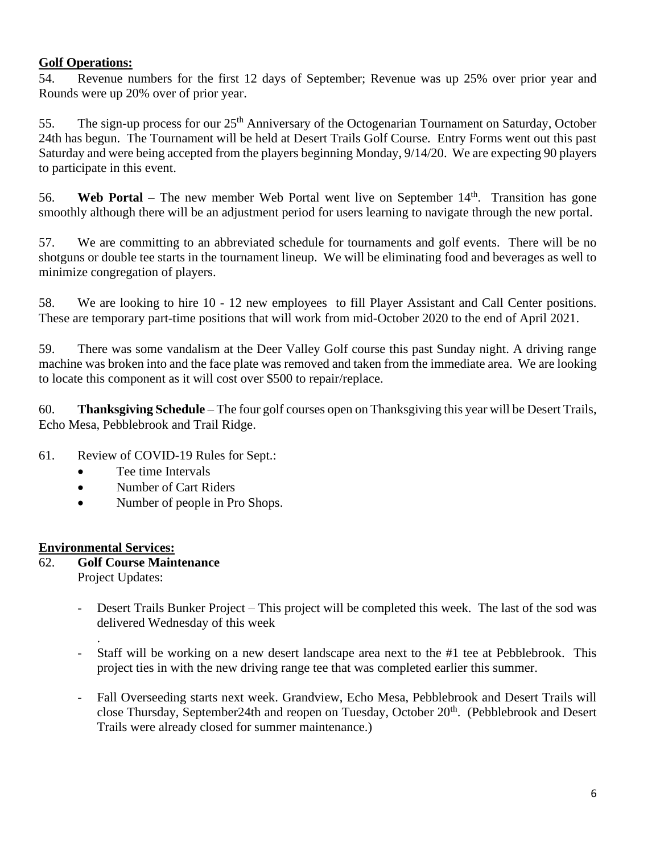### **Golf Operations:**

54. Revenue numbers for the first 12 days of September; Revenue was up 25% over prior year and Rounds were up 20% over of prior year.

55. The sign-up process for our 25<sup>th</sup> Anniversary of the Octogenarian Tournament on Saturday, October 24th has begun. The Tournament will be held at Desert Trails Golf Course. Entry Forms went out this past Saturday and were being accepted from the players beginning Monday, 9/14/20. We are expecting 90 players to participate in this event.

56. **Web Portal** – The new member Web Portal went live on September 14<sup>th</sup>. Transition has gone smoothly although there will be an adjustment period for users learning to navigate through the new portal.

57. We are committing to an abbreviated schedule for tournaments and golf events. There will be no shotguns or double tee starts in the tournament lineup. We will be eliminating food and beverages as well to minimize congregation of players.

58. We are looking to hire 10 - 12 new employees to fill Player Assistant and Call Center positions. These are temporary part-time positions that will work from mid-October 2020 to the end of April 2021.

59. There was some vandalism at the Deer Valley Golf course this past Sunday night. A driving range machine was broken into and the face plate was removed and taken from the immediate area. We are looking to locate this component as it will cost over \$500 to repair/replace.

60. **Thanksgiving Schedule** – The four golf courses open on Thanksgiving this year will be Desert Trails, Echo Mesa, Pebblebrook and Trail Ridge.

### 61. Review of COVID-19 Rules for Sept.:

- Tee time Intervals
- Number of Cart Riders
- Number of people in Pro Shops.

### **Environmental Services:**

- 62. **Golf Course Maintenance** Project Updates:
	- Desert Trails Bunker Project This project will be completed this week. The last of the sod was delivered Wednesday of this week
	- . Staff will be working on a new desert landscape area next to the #1 tee at Pebblebrook. This project ties in with the new driving range tee that was completed earlier this summer.
	- Fall Overseeding starts next week. Grandview, Echo Mesa, Pebblebrook and Desert Trails will close Thursday, September24th and reopen on Tuesday, October 20<sup>th</sup>. (Pebblebrook and Desert Trails were already closed for summer maintenance.)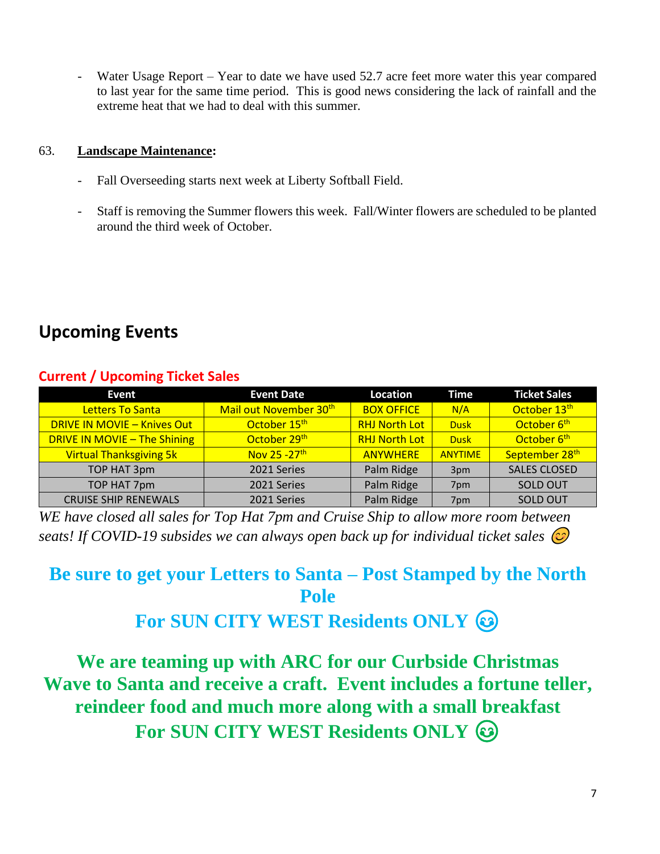Water Usage Report – Year to date we have used 52.7 acre feet more water this year compared to last year for the same time period. This is good news considering the lack of rainfall and the extreme heat that we had to deal with this summer.

### 63. **Landscape Maintenance:**

- Fall Overseeding starts next week at Liberty Softball Field.
- Staff is removing the Summer flowers this week. Fall/Winter flowers are scheduled to be planted around the third week of October.

# **Upcoming Events**

# **Current / Upcoming Ticket Sales**

| Event                               | <b>Event Date</b>                  | Location             | Time           | <b>Ticket Sales</b>     |
|-------------------------------------|------------------------------------|----------------------|----------------|-------------------------|
| Letters To Santa                    | Mail out November 30 <sup>th</sup> | <b>BOX OFFICE</b>    | N/A            | October 13th            |
| <b>DRIVE IN MOVIE - Knives Out</b>  | October 15 <sup>th</sup>           | <b>RHJ North Lot</b> | <b>Dusk</b>    | October 6 <sup>th</sup> |
| <b>DRIVE IN MOVIE - The Shining</b> | October 29th                       | <b>RHJ North Lot</b> | <b>Dusk</b>    | October 6 <sup>th</sup> |
| <b>Virtual Thanksgiving 5k</b>      | Nov 25 - 27 <sup>th</sup>          | <b>ANYWHERE</b>      | <b>ANYTIME</b> | September 28th          |
| TOP HAT 3pm                         | 2021 Series                        | Palm Ridge           | 3pm            | <b>SALES CLOSED</b>     |
| TOP HAT 7pm                         | 2021 Series                        | Palm Ridge           | 7pm            | <b>SOLD OUT</b>         |
| <b>CRUISE SHIP RENEWALS</b>         | 2021 Series                        | Palm Ridge           | 7pm            | <b>SOLD OUT</b>         |

*WE have closed all sales for Top Hat 7pm and Cruise Ship to allow more room between seats! If COVID-19 subsides we can always open back up for individual ticket sales* 

# **Be sure to get your Letters to Santa – Post Stamped by the North Pole**

# **For SUN CITY WEST Residents ONLY**

**We are teaming up with ARC for our Curbside Christmas Wave to Santa and receive a craft. Event includes a fortune teller, reindeer food and much more along with a small breakfast For SUN CITY WEST Residents ONLY**